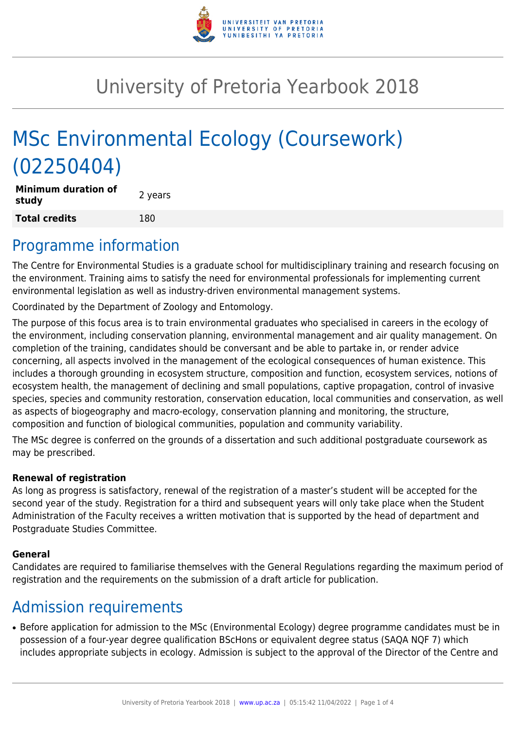

# University of Pretoria Yearbook 2018

# MSc Environmental Ecology (Coursework) (02250404)

**Minimum duration of study and all study 2** years **Total credits** 180

### Programme information

The Centre for Environmental Studies is a graduate school for multidisciplinary training and research focusing on the environment. Training aims to satisfy the need for environmental professionals for implementing current environmental legislation as well as industry-driven environmental management systems.

Coordinated by the Department of Zoology and Entomology.

The purpose of this focus area is to train environmental graduates who specialised in careers in the ecology of the environment, including conservation planning, environmental management and air quality management. On completion of the training, candidates should be conversant and be able to partake in, or render advice concerning, all aspects involved in the management of the ecological consequences of human existence. This includes a thorough grounding in ecosystem structure, composition and function, ecosystem services, notions of ecosystem health, the management of declining and small populations, captive propagation, control of invasive species, species and community restoration, conservation education, local communities and conservation, as well as aspects of biogeography and macro-ecology, conservation planning and monitoring, the structure, composition and function of biological communities, population and community variability.

The MSc degree is conferred on the grounds of a dissertation and such additional postgraduate coursework as may be prescribed.

#### **Renewal of registration**

As long as progress is satisfactory, renewal of the registration of a master's student will be accepted for the second year of the study. Registration for a third and subsequent years will only take place when the Student Administration of the Faculty receives a written motivation that is supported by the head of department and Postgraduate Studies Committee.

#### **General**

Candidates are required to familiarise themselves with the General Regulations regarding the maximum period of registration and the requirements on the submission of a draft article for publication.

# Admission requirements

● Before application for admission to the MSc (Environmental Ecology) degree programme candidates must be in possession of a four-year degree qualification BScHons or equivalent degree status (SAQA NQF 7) which includes appropriate subjects in ecology. Admission is subject to the approval of the Director of the Centre and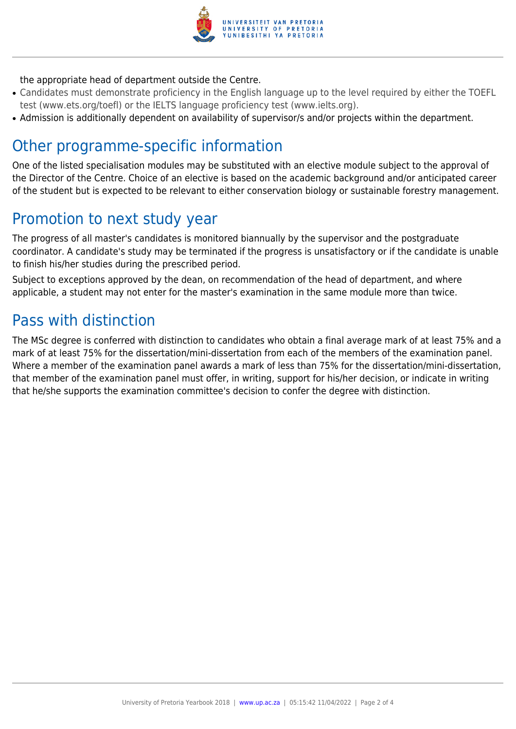

#### the appropriate head of department outside the Centre.

- Candidates must demonstrate proficiency in the English language up to the level required by either the TOEFL test (www.ets.org/toefl) or the IELTS language proficiency test (www.ielts.org).
- Admission is additionally dependent on availability of supervisor/s and/or projects within the department.

## Other programme-specific information

One of the listed specialisation modules may be substituted with an elective module subject to the approval of the Director of the Centre. Choice of an elective is based on the academic background and/or anticipated career of the student but is expected to be relevant to either conservation biology or sustainable forestry management.

## Promotion to next study year

The progress of all master's candidates is monitored biannually by the supervisor and the postgraduate coordinator. A candidate's study may be terminated if the progress is unsatisfactory or if the candidate is unable to finish his/her studies during the prescribed period.

Subject to exceptions approved by the dean, on recommendation of the head of department, and where applicable, a student may not enter for the master's examination in the same module more than twice.

## Pass with distinction

The MSc degree is conferred with distinction to candidates who obtain a final average mark of at least 75% and a mark of at least 75% for the dissertation/mini-dissertation from each of the members of the examination panel. Where a member of the examination panel awards a mark of less than 75% for the dissertation/mini-dissertation, that member of the examination panel must offer, in writing, support for his/her decision, or indicate in writing that he/she supports the examination committee's decision to confer the degree with distinction.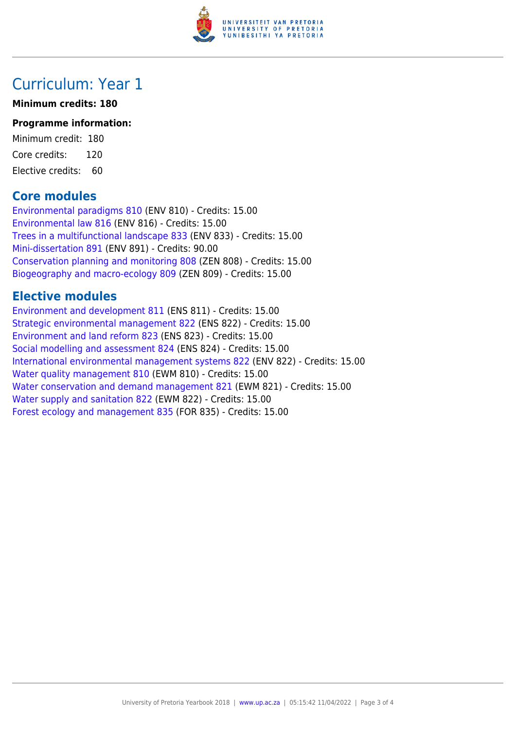

## Curriculum: Year 1

#### **Minimum credits: 180**

#### **Programme information:**

Minimum credit: 180 Core credits: 120 Elective credits: 60

### **Core modules**

[Environmental paradigms 810](https://www.up.ac.za/faculty-of-education/yearbooks/2018/modules/view/ENV 810) (ENV 810) - Credits: 15.00 [Environmental law 816](https://www.up.ac.za/faculty-of-education/yearbooks/2018/modules/view/ENV 816) (ENV 816) - Credits: 15.00 [Trees in a multifunctional landscape 833](https://www.up.ac.za/faculty-of-education/yearbooks/2018/modules/view/ENV 833) (ENV 833) - Credits: 15.00 [Mini-dissertation 891](https://www.up.ac.za/faculty-of-education/yearbooks/2018/modules/view/ENV 891) (ENV 891) - Credits: 90.00 [Conservation planning and monitoring 808](https://www.up.ac.za/faculty-of-education/yearbooks/2018/modules/view/ZEN 808) (ZEN 808) - Credits: 15.00 [Biogeography and macro-ecology 809](https://www.up.ac.za/faculty-of-education/yearbooks/2018/modules/view/ZEN 809) (ZEN 809) - Credits: 15.00

### **Elective modules**

[Environment and development 811](https://www.up.ac.za/faculty-of-education/yearbooks/2018/modules/view/ENS 811) (ENS 811) - Credits: 15.00 [Strategic environmental management 822](https://www.up.ac.za/faculty-of-education/yearbooks/2018/modules/view/ENS 822) (ENS 822) - Credits: 15.00 [Environment and land reform 823](https://www.up.ac.za/faculty-of-education/yearbooks/2018/modules/view/ENS 823) (ENS 823) - Credits: 15.00 [Social modelling and assessment 824](https://www.up.ac.za/faculty-of-education/yearbooks/2018/modules/view/ENS 824) (ENS 824) - Credits: 15.00 [International environmental management systems 822](https://www.up.ac.za/faculty-of-education/yearbooks/2018/modules/view/ENV 822) (ENV 822) - Credits: 15.00 [Water quality management 810](https://www.up.ac.za/faculty-of-education/yearbooks/2018/modules/view/EWM 810) (EWM 810) - Credits: 15.00 [Water conservation and demand management 821](https://www.up.ac.za/faculty-of-education/yearbooks/2018/modules/view/EWM 821) (EWM 821) - Credits: 15.00 [Water supply and sanitation 822](https://www.up.ac.za/faculty-of-education/yearbooks/2018/modules/view/EWM 822) (EWM 822) - Credits: 15.00 [Forest ecology and management 835](https://www.up.ac.za/faculty-of-education/yearbooks/2018/modules/view/FOR 835) (FOR 835) - Credits: 15.00